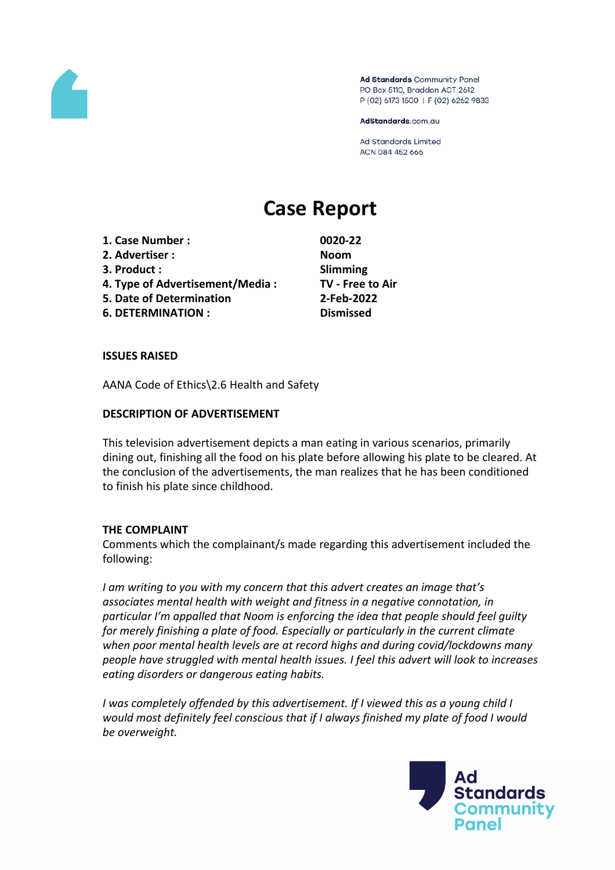

Ad Standards Community Panel PO Box 5110, Braddon ACT 2612 P (02) 6173 1500 | F (02) 6262 9833

AdStandards.com.au

**Ad Standards Limited** ACN 084 452 666

# **Case Report**

- **1. Case Number : 0020-22**
- **2. Advertiser : Noom**
- **3. Product : Slimming**
- **4. Type of Advertisement/Media : TV - Free to Air**
- **5. Date of Determination 2-Feb-2022**
- **6. DETERMINATION : Dismissed**

## **ISSUES RAISED**

AANA Code of Ethics\2.6 Health and Safety

#### **DESCRIPTION OF ADVERTISEMENT**

This television advertisement depicts a man eating in various scenarios, primarily dining out, finishing all the food on his plate before allowing his plate to be cleared. At the conclusion of the advertisements, the man realizes that he has been conditioned to finish his plate since childhood.

#### **THE COMPLAINT**

Comments which the complainant/s made regarding this advertisement included the following:

*I am writing to you with my concern that this advert creates an image that's associates mental health with weight and fitness in a negative connotation, in particular I'm appalled that Noom is enforcing the idea that people should feel guilty for merely finishing a plate of food. Especially or particularly in the current climate when poor mental health levels are at record highs and during covid/lockdowns many people have struggled with mental health issues. I feel this advert will look to increases eating disorders or dangerous eating habits.*

*I was completely offended by this advertisement. If I viewed this as a young child I would most definitely feel conscious that if I always finished my plate of food I would be overweight.*

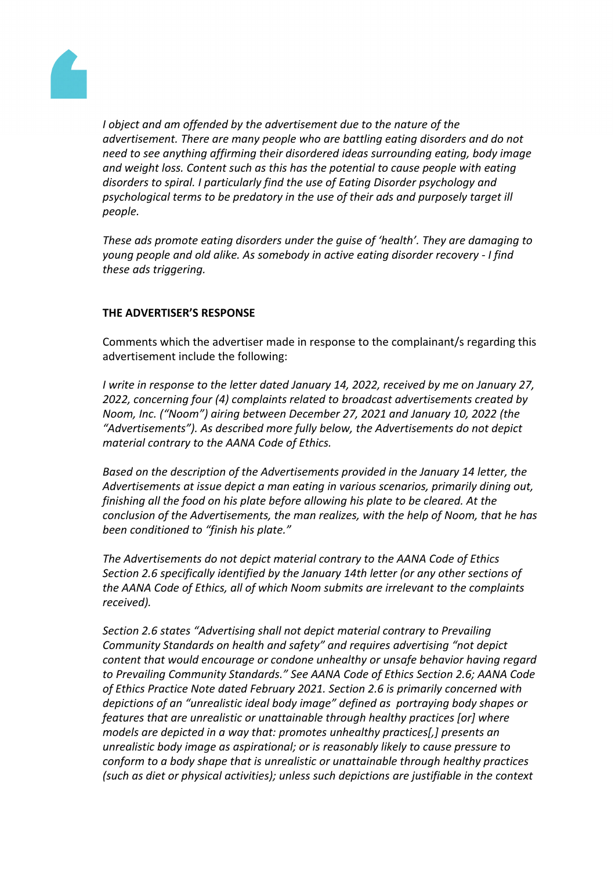

*I object and am offended by the advertisement due to the nature of the advertisement. There are many people who are battling eating disorders and do not need to see anything affirming their disordered ideas surrounding eating, body image and weight loss. Content such as this has the potential to cause people with eating disorders to spiral. I particularly find the use of Eating Disorder psychology and psychological terms to be predatory in the use of their ads and purposely target ill people.*

*These ads promote eating disorders under the guise of 'health'. They are damaging to young people and old alike. As somebody in active eating disorder recovery - I find these ads triggering.*

## **THE ADVERTISER'S RESPONSE**

Comments which the advertiser made in response to the complainant/s regarding this advertisement include the following:

*I write in response to the letter dated January 14, 2022, received by me on January 27, 2022, concerning four (4) complaints related to broadcast advertisements created by Noom, Inc. ("Noom") airing between December 27, 2021 and January 10, 2022 (the "Advertisements"). As described more fully below, the Advertisements do not depict material contrary to the AANA Code of Ethics.*

*Based on the description of the Advertisements provided in the January 14 letter, the Advertisements at issue depict a man eating in various scenarios, primarily dining out, finishing all the food on his plate before allowing his plate to be cleared. At the conclusion of the Advertisements, the man realizes, with the help of Noom, that he has been conditioned to "finish his plate."*

*The Advertisements do not depict material contrary to the AANA Code of Ethics Section 2.6 specifically identified by the January 14th letter (or any other sections of the AANA Code of Ethics, all of which Noom submits are irrelevant to the complaints received).*

*Section 2.6 states "Advertising shall not depict material contrary to Prevailing Community Standards on health and safety" and requires advertising "not depict content that would encourage or condone unhealthy or unsafe behavior having regard to Prevailing Community Standards." See AANA Code of Ethics Section 2.6; AANA Code of Ethics Practice Note dated February 2021. Section 2.6 is primarily concerned with depictions of an "unrealistic ideal body image" defined as portraying body shapes or features that are unrealistic or unattainable through healthy practices [or] where models are depicted in a way that: promotes unhealthy practices[,] presents an unrealistic body image as aspirational; or is reasonably likely to cause pressure to conform to a body shape that is unrealistic or unattainable through healthy practices (such as diet or physical activities); unless such depictions are justifiable in the context*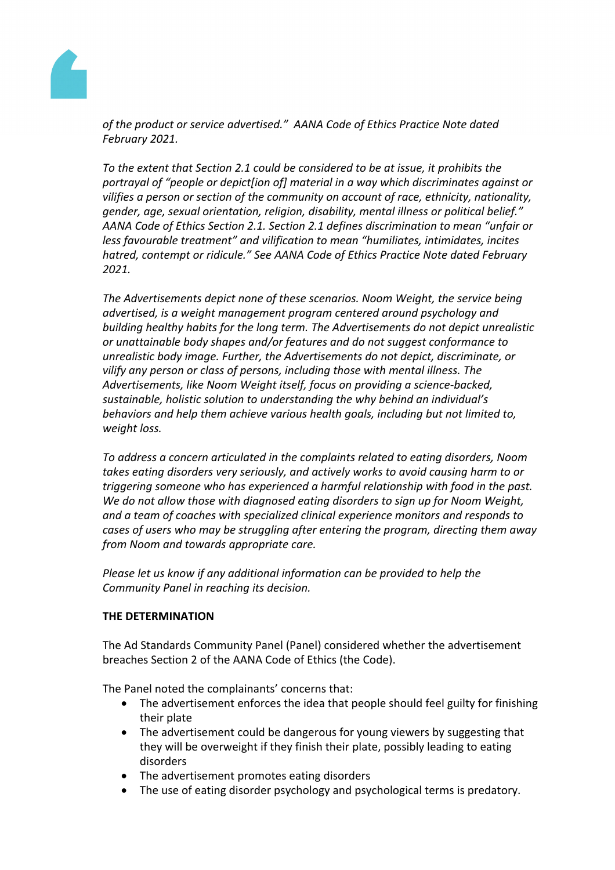

*of the product or service advertised." AANA Code of Ethics Practice Note dated February 2021.*

*To the extent that Section 2.1 could be considered to be at issue, it prohibits the portrayal of "people or depict[ion of] material in a way which discriminates against or vilifies a person or section of the community on account of race, ethnicity, nationality, gender, age, sexual orientation, religion, disability, mental illness or political belief." AANA Code of Ethics Section 2.1. Section 2.1 defines discrimination to mean "unfair or less favourable treatment" and vilification to mean "humiliates, intimidates, incites hatred, contempt or ridicule." See AANA Code of Ethics Practice Note dated February 2021.*

*The Advertisements depict none of these scenarios. Noom Weight, the service being advertised, is a weight management program centered around psychology and building healthy habits for the long term. The Advertisements do not depict unrealistic or unattainable body shapes and/or features and do not suggest conformance to unrealistic body image. Further, the Advertisements do not depict, discriminate, or vilify any person or class of persons, including those with mental illness. The Advertisements, like Noom Weight itself, focus on providing a science-backed, sustainable, holistic solution to understanding the why behind an individual's behaviors and help them achieve various health goals, including but not limited to, weight loss.*

*To address a concern articulated in the complaints related to eating disorders, Noom takes eating disorders very seriously, and actively works to avoid causing harm to or triggering someone who has experienced a harmful relationship with food in the past. We do not allow those with diagnosed eating disorders to sign up for Noom Weight, and a team of coaches with specialized clinical experience monitors and responds to cases of users who may be struggling after entering the program, directing them away from Noom and towards appropriate care.*

*Please let us know if any additional information can be provided to help the Community Panel in reaching its decision.*

# **THE DETERMINATION**

The Ad Standards Community Panel (Panel) considered whether the advertisement breaches Section 2 of the AANA Code of Ethics (the Code).

The Panel noted the complainants' concerns that:

- The advertisement enforces the idea that people should feel guilty for finishing their plate
- The advertisement could be dangerous for young viewers by suggesting that they will be overweight if they finish their plate, possibly leading to eating disorders
- The advertisement promotes eating disorders
- The use of eating disorder psychology and psychological terms is predatory.